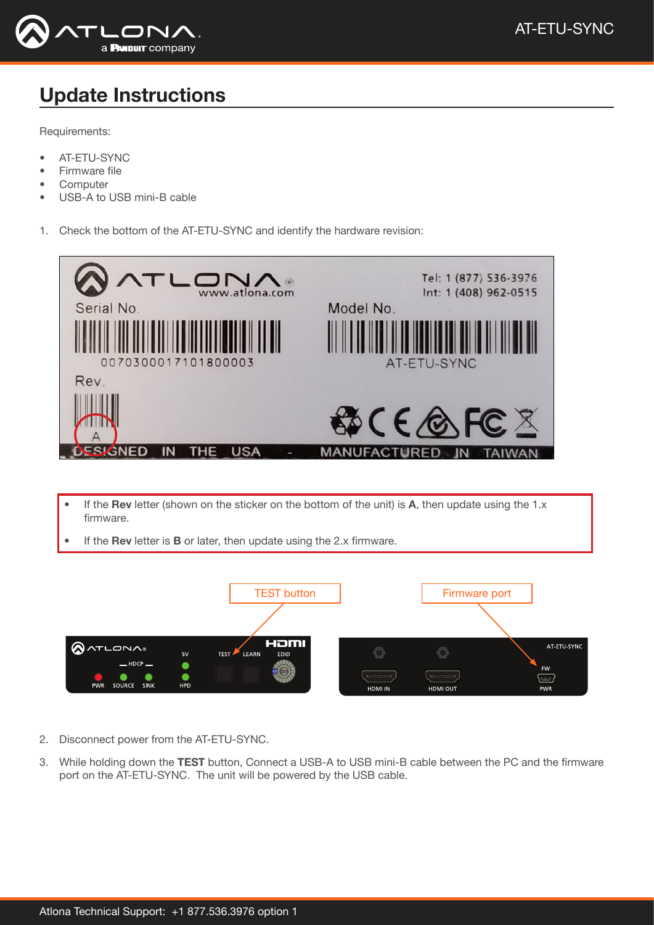

## Update Instructions

Requirements:

- AT-ETU-SYNC
- Firmware file
- **Computer**
- USB-A to USB mini-B cable
- 1. Check the bottom of the AT-ETU-SYNC and identify the hardware revision:



- If the Rev letter (shown on the sticker on the bottom of the unit) is A, then update using the 1.x firmware.
- If the **Rev** letter is **B** or later, then update using the 2. $x$  firmware.



- 2. Disconnect power from the AT-ETU-SYNC.
- 3. While holding down the TEST button, Connect a USB-A to USB mini-B cable between the PC and the firmware port on the AT-ETU-SYNC. The unit will be powered by the USB cable.